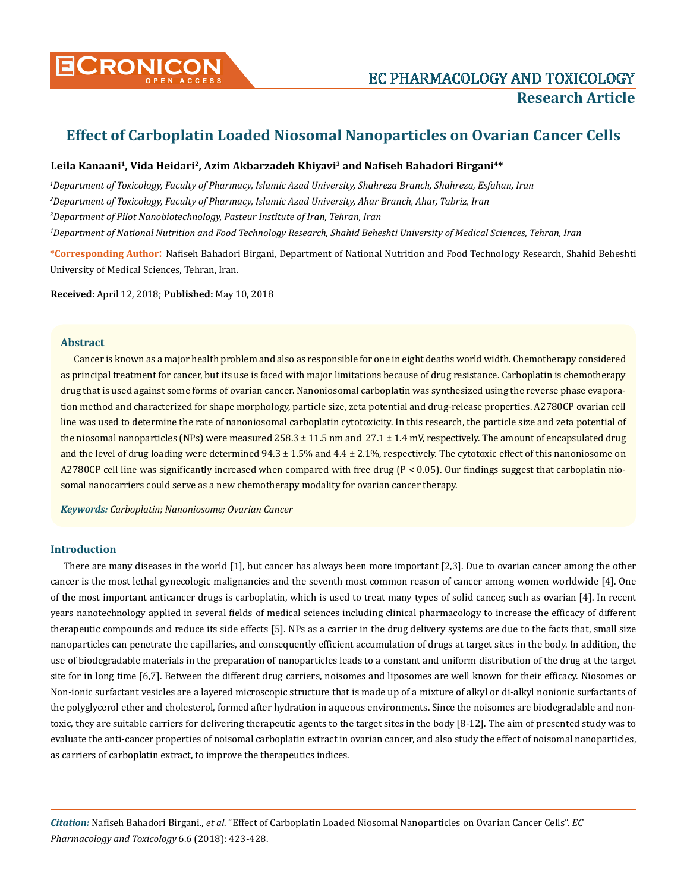

# **Effect of Carboplatin Loaded Niosomal Nanoparticles on Ovarian Cancer Cells**

### **Leila Kanaani1, Vida Heidari2, Azim Akbarzadeh Khiyavi3 and Nafiseh Bahadori Birgani4\***

 *Department of Toxicology, Faculty of Pharmacy, Islamic Azad University, Shahreza Branch, Shahreza, Esfahan, Iran Department of Toxicology, Faculty of Pharmacy, Islamic Azad University, Ahar Branch, Ahar, Tabriz, Iran Department of Pilot Nanobiotechnology, Pasteur Institute of Iran, Tehran, Iran Department of National Nutrition and Food Technology Research, Shahid Beheshti University of Medical Sciences, Tehran, Iran* 

**\*Corresponding Author**: Nafiseh Bahadori Birgani, Department of National Nutrition and Food Technology Research, Shahid Beheshti University of Medical Sciences, Tehran, Iran.

**Received:** April 12, 2018; **Published:** May 10, 2018

### **Abstract**

Cancer is known as a major health problem and also as responsible for one in eight deaths world width. Chemotherapy considered as principal treatment for cancer, but its use is faced with major limitations because of drug resistance. Carboplatin is chemotherapy drug that is used against some forms of ovarian cancer. Nanoniosomal carboplatin was synthesized using the reverse phase evaporation method and characterized for shape morphology, particle size, zeta potential and drug-release properties. A2780CP ovarian cell line was used to determine the rate of nanoniosomal carboplatin cytotoxicity. In this research, the particle size and zeta potential of the niosomal nanoparticles (NPs) were measured  $258.3 \pm 11.5$  nm and  $27.1 \pm 1.4$  mV, respectively. The amount of encapsulated drug and the level of drug loading were determined  $94.3 \pm 1.5\%$  and  $4.4 \pm 2.1\%$ , respectively. The cytotoxic effect of this nanoniosome on A2780CP cell line was significantly increased when compared with free drug (P < 0.05). Our findings suggest that carboplatin niosomal nanocarriers could serve as a new chemotherapy modality for ovarian cancer therapy.

*Keywords: Carboplatin; Nanoniosome; Ovarian Cancer* 

### **Introduction**

There are many diseases in the world [1], but cancer has always been more important [2,3]. Due to ovarian cancer among the other cancer is the most lethal gynecologic malignancies and the seventh most common reason of cancer among women worldwide [4]. One of the most important anticancer drugs is carboplatin, which is used to treat many types of solid cancer, such as ovarian [4]. In recent years nanotechnology applied in several fields of medical sciences including clinical pharmacology to increase the efficacy of different therapeutic compounds and reduce its side effects [5]. NPs as a carrier in the drug delivery systems are due to the facts that, small size nanoparticles can penetrate the capillaries, and consequently efficient accumulation of drugs at target sites in the body. In addition, the use of biodegradable materials in the preparation of nanoparticles leads to a constant and uniform distribution of the drug at the target site for in long time [6,7]. Between the different drug carriers, noisomes and liposomes are well known for their efficacy. Niosomes or Non-ionic surfactant vesicles are a layered microscopic structure that is made up of a mixture of alkyl or di-alkyl nonionic surfactants of the polyglycerol ether and cholesterol, formed after hydration in aqueous environments. Since the noisomes are biodegradable and nontoxic, they are suitable carriers for delivering therapeutic agents to the target sites in the body [8-12]. The aim of presented study was to evaluate the anti-cancer properties of noisomal carboplatin extract in ovarian cancer, and also study the effect of noisomal nanoparticles, as carriers of carboplatin extract, to improve the therapeutics indices.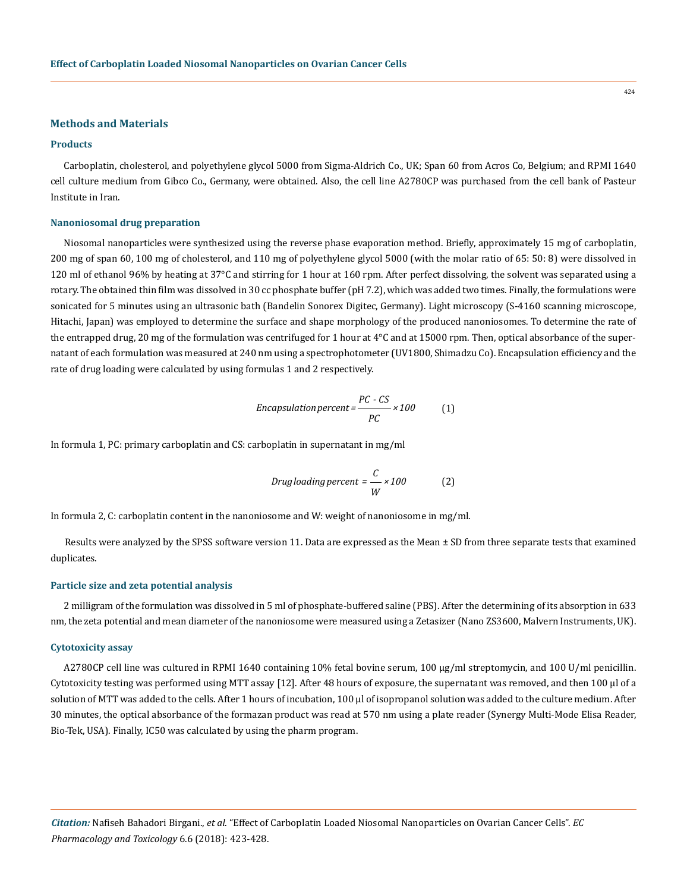### **Methods and Materials**

### **Products**

Carboplatin, cholesterol, and polyethylene glycol 5000 from Sigma-Aldrich Co., UK; Span 60 from Acros Co, Belgium; and RPMI 1640 cell culture medium from Gibco Co., Germany, were obtained. Also, the cell line A2780CP was purchased from the cell bank of Pasteur Institute in Iran.

#### **Nanoniosomal drug preparation**

Niosomal nanoparticles were synthesized using the reverse phase evaporation method. Briefly, approximately 15 mg of carboplatin, 200 mg of span 60, 100 mg of cholesterol, and 110 mg of polyethylene glycol 5000 (with the molar ratio of 65: 50: 8) were dissolved in 120 ml of ethanol 96% by heating at 37°C and stirring for 1 hour at 160 rpm. After perfect dissolving, the solvent was separated using a rotary. The obtained thin film was dissolved in 30 cc phosphate buffer (pH 7.2), which was added two times. Finally, the formulations were sonicated for 5 minutes using an ultrasonic bath (Bandelin Sonorex Digitec, Germany). Light microscopy (S-4160 scanning microscope, Hitachi, Japan) was employed to determine the surface and shape morphology of the produced nanoniosomes. To determine the rate of the entrapped drug, 20 mg of the formulation was centrifuged for 1 hour at 4°C and at 15000 rpm. Then, optical absorbance of the supernatant of each formulation was measured at 240 nm using a spectrophotometer (UV1800, Shimadzu Co). Encapsulation efficiency and the rate of drug loading were calculated by using formulas 1 and 2 respectively.

Encapsulation percent = 
$$
\frac{PC - CS}{PC} \times 100
$$
 (1)

In formula 1, PC: primary carboplatin and CS: carboplatin in supernatant in mg/ml

$$
Drug loading percent = \frac{C}{W} \times 100
$$
 (2)

In formula 2, C: carboplatin content in the nanoniosome and W: weight of nanoniosome in mg/ml.

Results were analyzed by the SPSS software version 11. Data are expressed as the Mean ± SD from three separate tests that examined duplicates.

### **Particle size and zeta potential analysis**

2 milligram of the formulation was dissolved in 5 ml of phosphate-buffered saline (PBS). After the determining of its absorption in 633 nm, the zeta potential and mean diameter of the nanoniosome were measured using a Zetasizer (Nano ZS3600, Malvern Instruments, UK).

#### **Cytotoxicity assay**

A2780CP cell line was cultured in RPMI 1640 containing 10% fetal bovine serum, 100 μg/ml streptomycin, and 100 U/ml penicillin. Cytotoxicity testing was performed using MTT assay [12]. After 48 hours of exposure, the supernatant was removed, and then 100 µl of a solution of MTT was added to the cells. After 1 hours of incubation, 100 µl of isopropanol solution was added to the culture medium. After 30 minutes, the optical absorbance of the formazan product was read at 570 nm using a plate reader (Synergy Multi-Mode Elisa Reader, Bio-Tek, USA). Finally, IC50 was calculated by using the pharm program.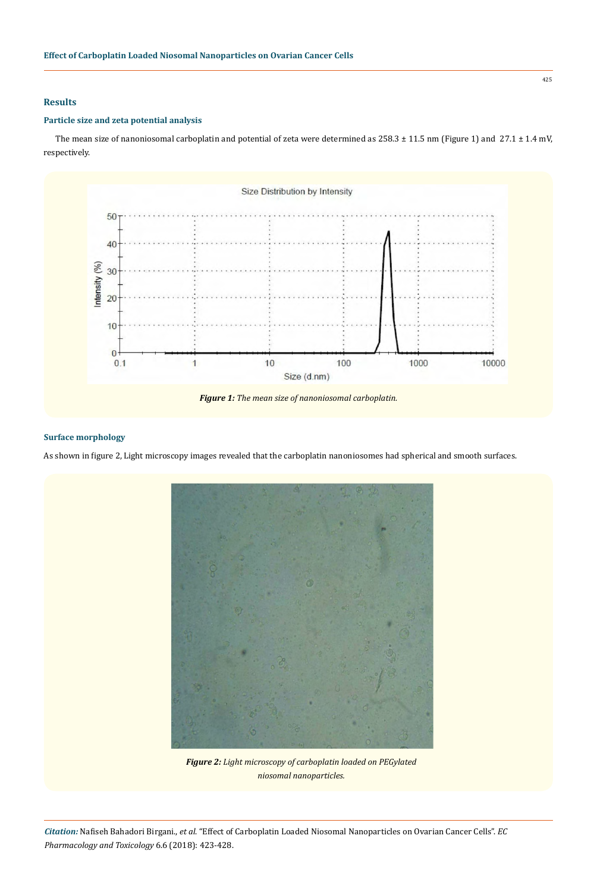# **Results**

## **Particle size and zeta potential analysis**

The mean size of nanoniosomal carboplatin and potential of zeta were determined as 258.3 ± 11.5 nm (Figure 1) and 27.1 ± 1.4 mV, respectively.



### **Surface morphology**

As shown in figure 2, Light microscopy images revealed that the carboplatin nanoniosomes had spherical and smooth surfaces.



*Figure 2: Light microscopy of carboplatin loaded on PEGylated niosomal nanoparticles.*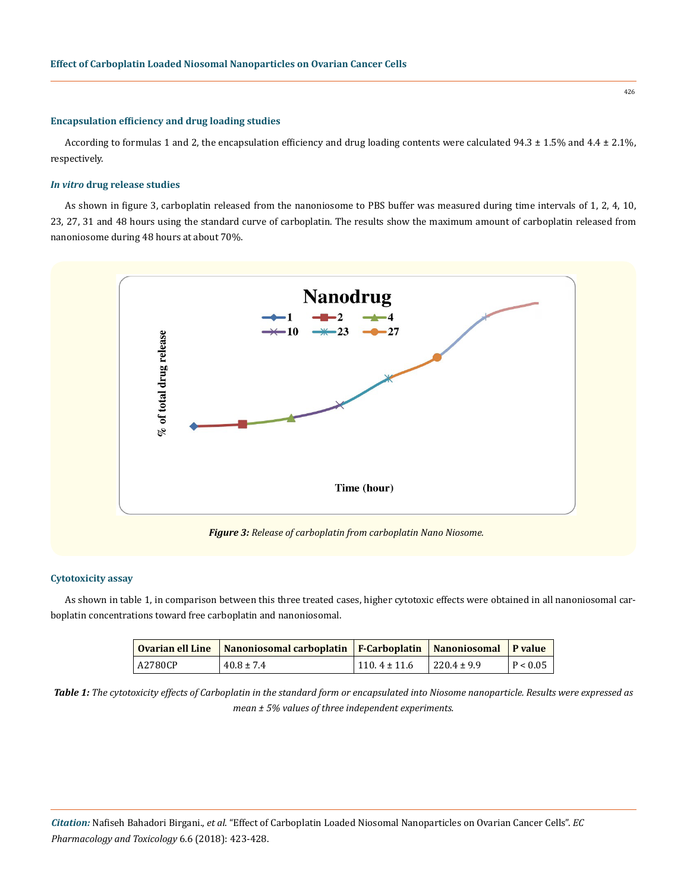### **Encapsulation efficiency and drug loading studies**

According to formulas 1 and 2, the encapsulation efficiency and drug loading contents were calculated  $94.3 \pm 1.5\%$  and  $4.4 \pm 2.1\%$ , respectively.

### *In vitro* **drug release studies**

As shown in figure 3, carboplatin released from the nanoniosome to PBS buffer was measured during time intervals of 1, 2, 4, 10, 23, 27, 31 and 48 hours using the standard curve of carboplatin. The results show the maximum amount of carboplatin released from nanoniosome during 48 hours at about 70%.



*Figure 3: Release of carboplatin from carboplatin Nano Niosome.*

### **Cytotoxicity assay**

As shown in table 1, in comparison between this three treated cases, higher cytotoxic effects were obtained in all nanoniosomal carboplatin concentrations toward free carboplatin and nanoniosomal.

|         | Ovarian ell Line   Nanoniosomal carboplatin   F-Carboplatin   Nanoniosomal   P value |                  |                  |          |
|---------|--------------------------------------------------------------------------------------|------------------|------------------|----------|
| A2780CP | $40.8 \pm 7.4$                                                                       | $110.4 \pm 11.6$ | $1220.4 \pm 9.9$ | P < 0.05 |

*Table 1: The cytotoxicity effects of Carboplatin in the standard form or encapsulated into Niosome nanoparticle. Results were expressed as mean ± 5% values of three independent experiments.*

*Citation:* Nafiseh Bahadori Birgani., *et al*. "Effect of Carboplatin Loaded Niosomal Nanoparticles on Ovarian Cancer Cells". *EC Pharmacology and Toxicology* 6.6 (2018): 423-428.

426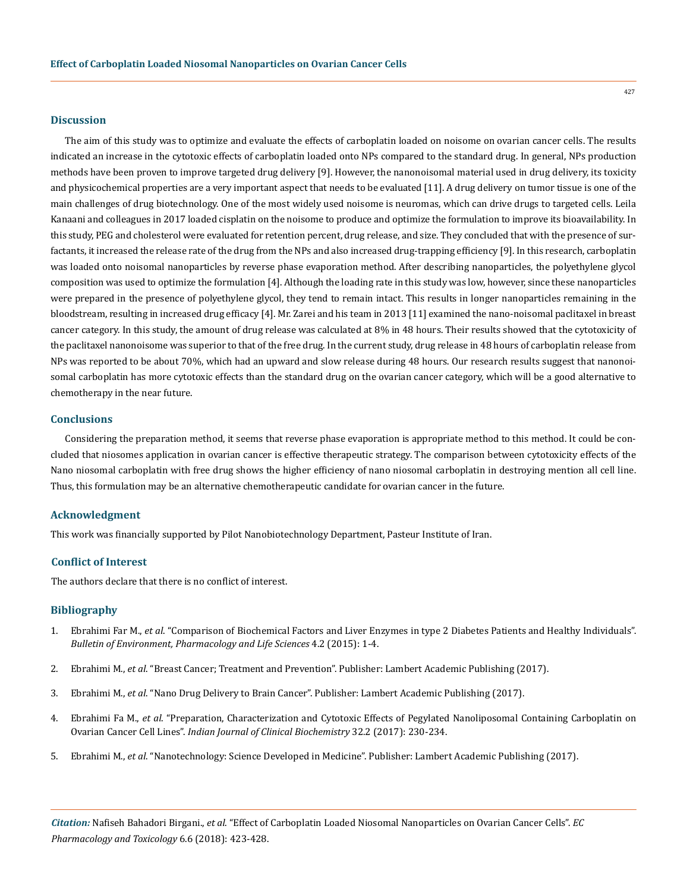### **Discussion**

The aim of this study was to optimize and evaluate the effects of carboplatin loaded on noisome on ovarian cancer cells. The results indicated an increase in the cytotoxic effects of carboplatin loaded onto NPs compared to the standard drug. In general, NPs production methods have been proven to improve targeted drug delivery [9]. However, the nanonoisomal material used in drug delivery, its toxicity and physicochemical properties are a very important aspect that needs to be evaluated [11]. A drug delivery on tumor tissue is one of the main challenges of drug biotechnology. One of the most widely used noisome is neuromas, which can drive drugs to targeted cells. Leila Kanaani and colleagues in 2017 loaded cisplatin on the noisome to produce and optimize the formulation to improve its bioavailability. In this study, PEG and cholesterol were evaluated for retention percent, drug release, and size. They concluded that with the presence of surfactants, it increased the release rate of the drug from the NPs and also increased drug-trapping efficiency [9]. In this research, carboplatin was loaded onto noisomal nanoparticles by reverse phase evaporation method. After describing nanoparticles, the polyethylene glycol composition was used to optimize the formulation [4]. Although the loading rate in this study was low, however, since these nanoparticles were prepared in the presence of polyethylene glycol, they tend to remain intact. This results in longer nanoparticles remaining in the bloodstream, resulting in increased drug efficacy [4]. Mr. Zarei and his team in 2013 [11] examined the nano-noisomal paclitaxel in breast cancer category. In this study, the amount of drug release was calculated at 8% in 48 hours. Their results showed that the cytotoxicity of the paclitaxel nanonoisome was superior to that of the free drug. In the current study, drug release in 48 hours of carboplatin release from NPs was reported to be about 70%, which had an upward and slow release during 48 hours. Our research results suggest that nanonoisomal carboplatin has more cytotoxic effects than the standard drug on the ovarian cancer category, which will be a good alternative to chemotherapy in the near future.

## **Conclusions**

Considering the preparation method, it seems that reverse phase evaporation is appropriate method to this method. It could be concluded that niosomes application in ovarian cancer is effective therapeutic strategy. The comparison between cytotoxicity effects of the Nano niosomal carboplatin with free drug shows the higher efficiency of nano niosomal carboplatin in destroying mention all cell line. Thus, this formulation may be an alternative chemotherapeutic candidate for ovarian cancer in the future.

### **Acknowledgment**

This work was financially supported by Pilot Nanobiotechnology Department, Pasteur Institute of Iran.

### **Conflict of Interest**

The authors declare that there is no conflict of interest.

### **Bibliography**

- 1. Ebrahimi Far M., *et al*[. "Comparison of Biochemical Factors and Liver Enzymes in type 2 Diabetes Patients and Healthy Individuals".](http://bepls.com/jan2015/1.pdf) *[Bulletin of Environment, Pharmacology and Life Sciences](http://bepls.com/jan2015/1.pdf)* 4.2 (2015): 1-4.
- 2. Ebrahimi M., *et al*. "Breast Cancer; Treatment and Prevention". Publisher: Lambert Academic Publishing (2017).
- 3. Ebrahimi M., *et al*. "Nano Drug Delivery to Brain Cancer". Publisher: Lambert Academic Publishing (2017).
- 4. Ebrahimi Fa M., *et al*[. "Preparation, Characterization and Cytotoxic Effects of Pegylated Nanoliposomal Containing Carboplatin on](https://link.springer.com/article/10.1007%2Fs12291-016-0596-3)  Ovarian Cancer Cell Lines". *[Indian Journal of Clinical Biochemistry](https://link.springer.com/article/10.1007%2Fs12291-016-0596-3)* 32.2 (2017): 230-234.
- 5. Ebrahimi M., *et al*. "Nanotechnology: Science Developed in Medicine". Publisher: Lambert Academic Publishing (2017).